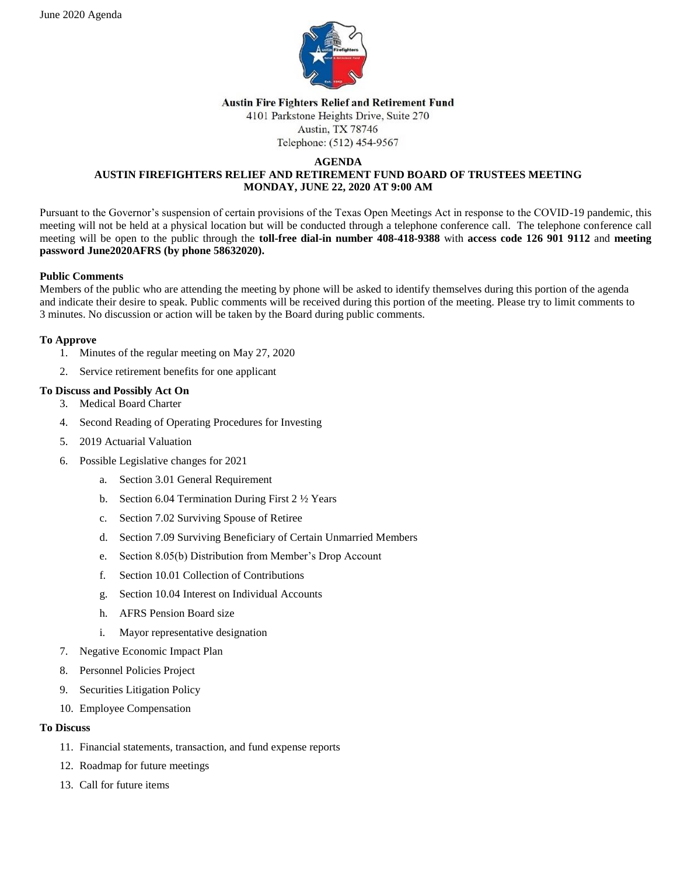

#### **Austin Fire Fighters Relief and Retirement Fund**

4101 Parkstone Heights Drive, Suite 270 Austin, TX 78746

Telephone: (512) 454-9567

#### **AGENDA AUSTIN FIREFIGHTERS RELIEF AND RETIREMENT FUND BOARD OF TRUSTEES MEETING MONDAY, JUNE 22, 2020 AT 9:00 AM**

Pursuant to the Governor's suspension of certain provisions of the Texas Open Meetings Act in response to the COVID-19 pandemic, this meeting will not be held at a physical location but will be conducted through a telephone conference call. The telephone conference call meeting will be open to the public through the **toll-free dial-in number 408-418-9388** with **access code 126 901 9112** and **meeting password June2020AFRS (by phone 58632020).**

# **Public Comments**

Members of the public who are attending the meeting by phone will be asked to identify themselves during this portion of the agenda and indicate their desire to speak. Public comments will be received during this portion of the meeting. Please try to limit comments to 3 minutes. No discussion or action will be taken by the Board during public comments.

# **To Approve**

- 1. Minutes of the regular meeting on May 27, 2020
- 2. Service retirement benefits for one applicant

# **To Discuss and Possibly Act On**

- 3. Medical Board Charter
- 4. Second Reading of Operating Procedures for Investing
- 5. 2019 Actuarial Valuation
- 6. Possible Legislative changes for 2021
	- a. Section 3.01 General Requirement
	- b. Section 6.04 Termination During First  $2\frac{1}{2}$  Years
	- c. Section 7.02 Surviving Spouse of Retiree
	- d. Section 7.09 Surviving Beneficiary of Certain Unmarried Members
	- e. Section 8.05(b) Distribution from Member's Drop Account
	- f. Section 10.01 Collection of Contributions
	- g. Section 10.04 Interest on Individual Accounts
	- h. AFRS Pension Board size
	- i. Mayor representative designation
- 7. Negative Economic Impact Plan
- 8. Personnel Policies Project
- 9. Securities Litigation Policy
- 10. Employee Compensation

#### **To Discuss**

- 11. Financial statements, transaction, and fund expense reports
- 12. Roadmap for future meetings
- 13. Call for future items